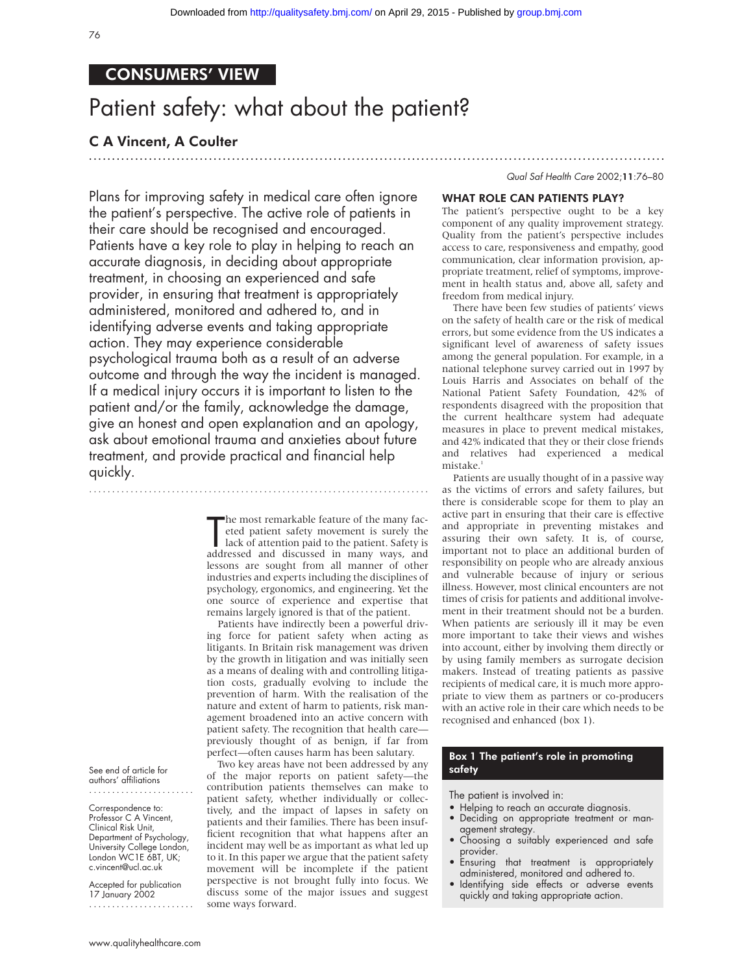# CONSUMERS' VIEW

# Patient safety: what about the patient?

# C A Vincent, A Coulter

# .............................................................................................................................

Plans for improving safety in medical care often ignore the patient's perspective. The active role of patients in their care should be recognised and encouraged. Patients have a key role to play in helping to reach an accurate diagnosis, in deciding about appropriate treatment, in choosing an experienced and safe provider, in ensuring that treatment is appropriately administered, monitored and adhered to, and in identifying adverse events and taking appropriate action. They may experience considerable psychological trauma both as a result of an adverse outcome and through the way the incident is managed. If a medical injury occurs it is important to listen to the patient and/or the family, acknowledge the damage, give an honest and open explanation and an apology, ask about emotional trauma and anxieties about future treatment, and provide practical and financial help quickly.

..........................................................................

The most remarkable feature of the many fac-<br>eted patient safety movement is surely the<br>lack of attention paid to the patient. Safety is<br>addressed and discussed in many ways, and he most remarkable feature of the many faceted patient safety movement is surely the addressed and discussed in many ways, and lessons are sought from all manner of other industries and experts including the disciplines of psychology, ergonomics, and engineering. Yet the one source of experience and expertise that remains largely ignored is that of the patient.

Patients have indirectly been a powerful driving force for patient safety when acting as litigants. In Britain risk management was driven by the growth in litigation and was initially seen as a means of dealing with and controlling litigation costs, gradually evolving to include the prevention of harm. With the realisation of the nature and extent of harm to patients, risk management broadened into an active concern with patient safety. The recognition that health care previously thought of as benign, if far from perfect—often causes harm has been salutary.

Two key areas have not been addressed by any of the major reports on patient safety—the contribution patients themselves can make to patient safety, whether individually or collectively, and the impact of lapses in safety on patients and their families. There has been insufficient recognition that what happens after an incident may well be as important as what led up to it. In this paper we argue that the patient safety movement will be incomplete if the patient perspective is not brought fully into focus. We discuss some of the major issues and suggest some ways forward.

# Qual Saf Health Care 2002;11:76–80

### WHAT ROLE CAN PATIENTS PLAY?

The patient's perspective ought to be a key component of any quality improvement strategy. Quality from the patient's perspective includes access to care, responsiveness and empathy, good communication, clear information provision, appropriate treatment, relief of symptoms, improvement in health status and, above all, safety and freedom from medical injury.

There have been few studies of patients' views on the safety of health care or the risk of medical errors, but some evidence from the US indicates a significant level of awareness of safety issues among the general population. For example, in a national telephone survey carried out in 1997 by Louis Harris and Associates on behalf of the National Patient Safety Foundation, 42% of respondents disagreed with the proposition that the current healthcare system had adequate measures in place to prevent medical mistakes, and 42% indicated that they or their close friends and relatives had experienced a medical mistake.<sup>1</sup>

Patients are usually thought of in a passive way as the victims of errors and safety failures, but there is considerable scope for them to play an active part in ensuring that their care is effective and appropriate in preventing mistakes and assuring their own safety. It is, of course, important not to place an additional burden of responsibility on people who are already anxious and vulnerable because of injury or serious illness. However, most clinical encounters are not times of crisis for patients and additional involvement in their treatment should not be a burden. When patients are seriously ill it may be even more important to take their views and wishes into account, either by involving them directly or by using family members as surrogate decision makers. Instead of treating patients as passive recipients of medical care, it is much more appropriate to view them as partners or co-producers with an active role in their care which needs to be recognised and enhanced (box 1).

## Box 1 The patient's role in promoting safety

The patient is involved in:

- Helping to reach an accurate diagnosis.
- Deciding on appropriate treatment or management strategy.
- Choosing a suitably experienced and safe provider.
- Ensuring that treatment is appropriately administered, monitored and adhered to.
- Identifying side effects or adverse events quickly and taking appropriate action.

See end of article for authors' affiliations .......................

Correspondence to: Professor C A Vincent, Clinical Risk Unit, Department of Psychology, University College London, London WC1E 6BT, UK; c.vincent@ucl.ac.uk

Accepted for publication 17 January 2002 .......................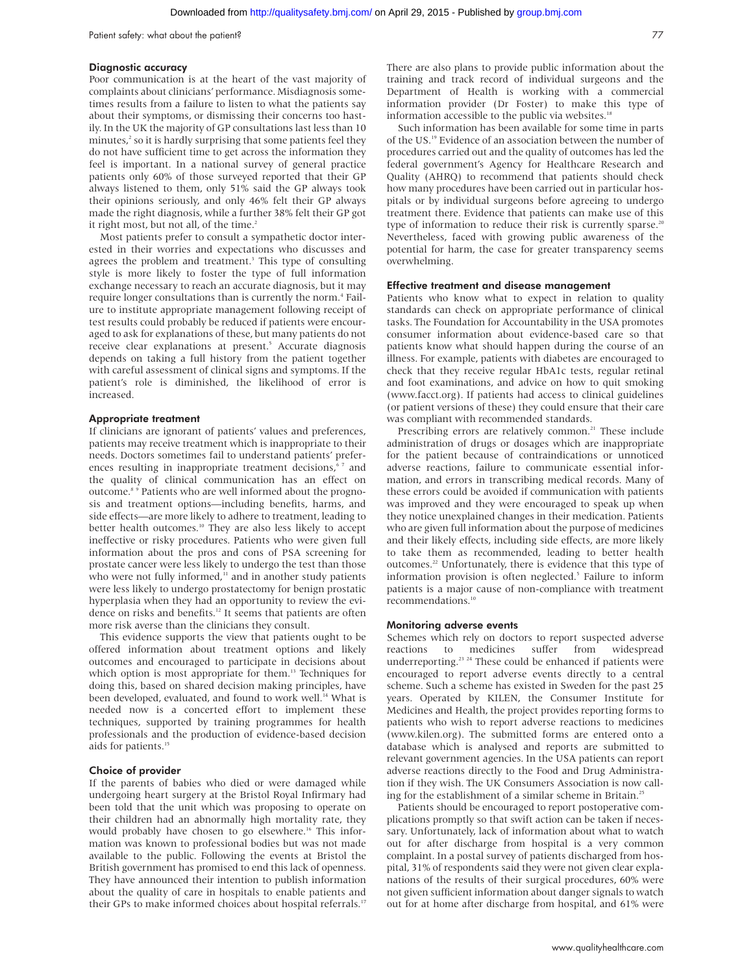Patient safety: what about the patient? The same state of the state of the state of the state of the state of the state of the state of the state of the state of the state of the state of the state of the state of the stat

#### Diagnostic accuracy

Poor communication is at the heart of the vast majority of complaints about clinicians' performance. Misdiagnosis sometimes results from a failure to listen to what the patients say about their symptoms, or dismissing their concerns too hastily. In the UK the majority of GP consultations last less than 10 minutes,<sup>2</sup> so it is hardly surprising that some patients feel they do not have sufficient time to get across the information they feel is important. In a national survey of general practice patients only 60% of those surveyed reported that their GP always listened to them, only 51% said the GP always took their opinions seriously, and only 46% felt their GP always made the right diagnosis, while a further 38% felt their GP got it right most, but not all, of the time.<sup>2</sup>

Most patients prefer to consult a sympathetic doctor interested in their worries and expectations who discusses and agrees the problem and treatment.<sup>3</sup> This type of consulting style is more likely to foster the type of full information exchange necessary to reach an accurate diagnosis, but it may require longer consultations than is currently the norm.<sup>4</sup> Failure to institute appropriate management following receipt of test results could probably be reduced if patients were encouraged to ask for explanations of these, but many patients do not receive clear explanations at present.<sup>5</sup> Accurate diagnosis depends on taking a full history from the patient together with careful assessment of clinical signs and symptoms. If the patient's role is diminished, the likelihood of error is increased.

#### Appropriate treatment

If clinicians are ignorant of patients' values and preferences, patients may receive treatment which is inappropriate to their needs. Doctors sometimes fail to understand patients' preferences resulting in inappropriate treatment decisions,<sup>67</sup> and the quality of clinical communication has an effect on outcome.8 9 Patients who are well informed about the prognosis and treatment options—including benefits, harms, and side effects—are more likely to adhere to treatment, leading to better health outcomes.<sup>10</sup> They are also less likely to accept ineffective or risky procedures. Patients who were given full information about the pros and cons of PSA screening for prostate cancer were less likely to undergo the test than those who were not fully informed, $\overline{1}$  and in another study patients were less likely to undergo prostatectomy for benign prostatic hyperplasia when they had an opportunity to review the evidence on risks and benefits.<sup>12</sup> It seems that patients are often more risk averse than the clinicians they consult.

This evidence supports the view that patients ought to be offered information about treatment options and likely outcomes and encouraged to participate in decisions about which option is most appropriate for them.13 Techniques for doing this, based on shared decision making principles, have been developed, evaluated, and found to work well.<sup>14</sup> What is needed now is a concerted effort to implement these techniques, supported by training programmes for health professionals and the production of evidence-based decision aids for patients.15

#### Choice of provider

If the parents of babies who died or were damaged while undergoing heart surgery at the Bristol Royal Infirmary had been told that the unit which was proposing to operate on their children had an abnormally high mortality rate, they would probably have chosen to go elsewhere.<sup>16</sup> This information was known to professional bodies but was not made available to the public. Following the events at Bristol the British government has promised to end this lack of openness. They have announced their intention to publish information about the quality of care in hospitals to enable patients and their GPs to make informed choices about hospital referrals.<sup>17</sup>

There are also plans to provide public information about the training and track record of individual surgeons and the Department of Health is working with a commercial information provider (Dr Foster) to make this type of information accessible to the public via websites.<sup>18</sup>

Such information has been available for some time in parts of the US.19 Evidence of an association between the number of procedures carried out and the quality of outcomes has led the federal government's Agency for Healthcare Research and Quality (AHRQ) to recommend that patients should check how many procedures have been carried out in particular hospitals or by individual surgeons before agreeing to undergo treatment there. Evidence that patients can make use of this type of information to reduce their risk is currently sparse.<sup>20</sup> Nevertheless, faced with growing public awareness of the potential for harm, the case for greater transparency seems overwhelming.

#### Effective treatment and disease management

Patients who know what to expect in relation to quality standards can check on appropriate performance of clinical tasks. The Foundation for Accountability in the USA promotes consumer information about evidence-based care so that patients know what should happen during the course of an illness. For example, patients with diabetes are encouraged to check that they receive regular HbA1c tests, regular retinal and foot examinations, and advice on how to quit smoking (www.facct.org). If patients had access to clinical guidelines (or patient versions of these) they could ensure that their care was compliant with recommended standards.

Prescribing errors are relatively common.<sup>21</sup> These include administration of drugs or dosages which are inappropriate for the patient because of contraindications or unnoticed adverse reactions, failure to communicate essential information, and errors in transcribing medical records. Many of these errors could be avoided if communication with patients was improved and they were encouraged to speak up when they notice unexplained changes in their medication. Patients who are given full information about the purpose of medicines and their likely effects, including side effects, are more likely to take them as recommended, leading to better health outcomes.22 Unfortunately, there is evidence that this type of information provision is often neglected.<sup>5</sup> Failure to inform patients is a major cause of non-compliance with treatment recommendations.<sup>10</sup>

#### Monitoring adverse events

Schemes which rely on doctors to report suspected adverse reactions to medicines suffer from widespread underreporting.<sup>23</sup> <sup>24</sup> These could be enhanced if patients were encouraged to report adverse events directly to a central scheme. Such a scheme has existed in Sweden for the past 25 years. Operated by KILEN, the Consumer Institute for Medicines and Health, the project provides reporting forms to patients who wish to report adverse reactions to medicines (www.kilen.org). The submitted forms are entered onto a database which is analysed and reports are submitted to relevant government agencies. In the USA patients can report adverse reactions directly to the Food and Drug Administration if they wish. The UK Consumers Association is now calling for the establishment of a similar scheme in Britain.<sup>25</sup>

Patients should be encouraged to report postoperative complications promptly so that swift action can be taken if necessary. Unfortunately, lack of information about what to watch out for after discharge from hospital is a very common complaint. In a postal survey of patients discharged from hospital, 31% of respondents said they were not given clear explanations of the results of their surgical procedures, 60% were not given sufficient information about danger signals to watch out for at home after discharge from hospital, and 61% were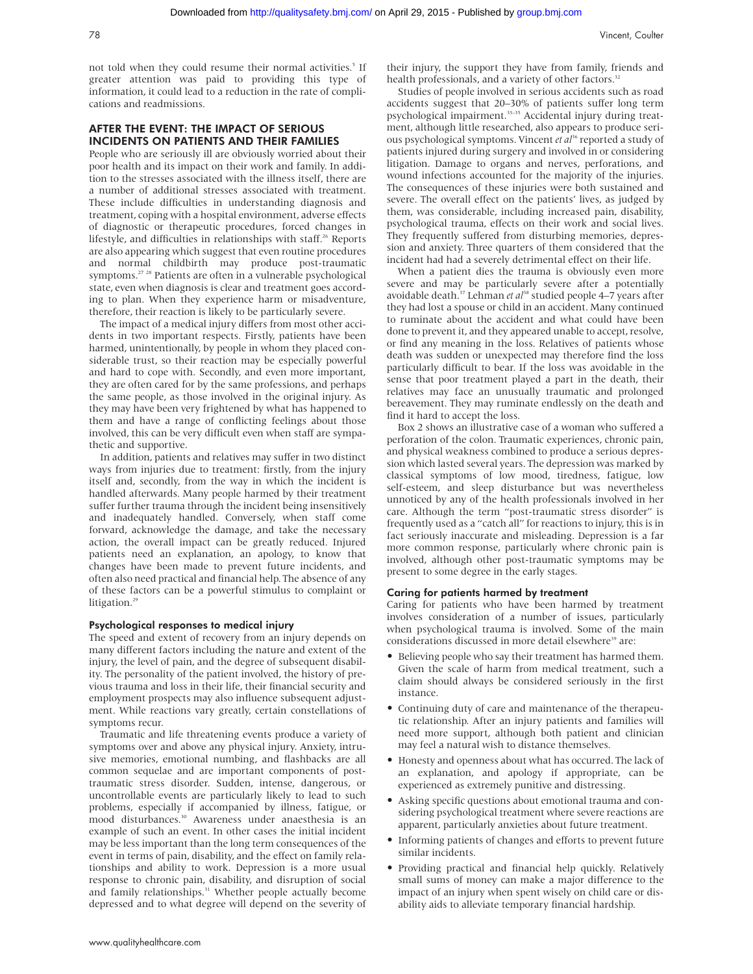not told when they could resume their normal activities.<sup>5</sup> If greater attention was paid to providing this type of information, it could lead to a reduction in the rate of complications and readmissions.

# AFTER THE EVENT: THE IMPACT OF SERIOUS INCIDENTS ON PATIENTS AND THEIR FAMILIES

People who are seriously ill are obviously worried about their poor health and its impact on their work and family. In addition to the stresses associated with the illness itself, there are a number of additional stresses associated with treatment. These include difficulties in understanding diagnosis and treatment, coping with a hospital environment, adverse effects of diagnostic or therapeutic procedures, forced changes in lifestyle, and difficulties in relationships with staff.<sup>26</sup> Reports are also appearing which suggest that even routine procedures and normal childbirth may produce post-traumatic symptoms.27 28 Patients are often in a vulnerable psychological state, even when diagnosis is clear and treatment goes according to plan. When they experience harm or misadventure, therefore, their reaction is likely to be particularly severe.

The impact of a medical injury differs from most other accidents in two important respects. Firstly, patients have been harmed, unintentionally, by people in whom they placed considerable trust, so their reaction may be especially powerful and hard to cope with. Secondly, and even more important, they are often cared for by the same professions, and perhaps the same people, as those involved in the original injury. As they may have been very frightened by what has happened to them and have a range of conflicting feelings about those involved, this can be very difficult even when staff are sympathetic and supportive.

In addition, patients and relatives may suffer in two distinct ways from injuries due to treatment: firstly, from the injury itself and, secondly, from the way in which the incident is handled afterwards. Many people harmed by their treatment suffer further trauma through the incident being insensitively and inadequately handled. Conversely, when staff come forward, acknowledge the damage, and take the necessary action, the overall impact can be greatly reduced. Injured patients need an explanation, an apology, to know that changes have been made to prevent future incidents, and often also need practical and financial help. The absence of any of these factors can be a powerful stimulus to complaint or litigation.<sup>29</sup>

#### Psychological responses to medical injury

The speed and extent of recovery from an injury depends on many different factors including the nature and extent of the injury, the level of pain, and the degree of subsequent disability. The personality of the patient involved, the history of previous trauma and loss in their life, their financial security and employment prospects may also influence subsequent adjustment. While reactions vary greatly, certain constellations of symptoms recur.

Traumatic and life threatening events produce a variety of symptoms over and above any physical injury. Anxiety, intrusive memories, emotional numbing, and flashbacks are all common sequelae and are important components of posttraumatic stress disorder. Sudden, intense, dangerous, or uncontrollable events are particularly likely to lead to such problems, especially if accompanied by illness, fatigue, or mood disturbances.30 Awareness under anaesthesia is an example of such an event. In other cases the initial incident may be less important than the long term consequences of the event in terms of pain, disability, and the effect on family relationships and ability to work. Depression is a more usual response to chronic pain, disability, and disruption of social and family relationships.<sup>31</sup> Whether people actually become depressed and to what degree will depend on the severity of their injury, the support they have from family, friends and health professionals, and a variety of other factors.<sup>32</sup>

Studies of people involved in serious accidents such as road accidents suggest that 20–30% of patients suffer long term psychological impairment.33–35 Accidental injury during treatment, although little researched, also appears to produce serious psychological symptoms. Vincent *et al*<sup>36</sup> reported a study of patients injured during surgery and involved in or considering litigation. Damage to organs and nerves, perforations, and wound infections accounted for the majority of the injuries. The consequences of these injuries were both sustained and severe. The overall effect on the patients' lives, as judged by them, was considerable, including increased pain, disability, psychological trauma, effects on their work and social lives. They frequently suffered from disturbing memories, depression and anxiety. Three quarters of them considered that the incident had had a severely detrimental effect on their life.

When a patient dies the trauma is obviously even more severe and may be particularly severe after a potentially avoidable death.<sup>37</sup> Lehman et al<sup>38</sup> studied people 4–7 years after they had lost a spouse or child in an accident. Many continued to ruminate about the accident and what could have been done to prevent it, and they appeared unable to accept, resolve, or find any meaning in the loss. Relatives of patients whose death was sudden or unexpected may therefore find the loss particularly difficult to bear. If the loss was avoidable in the sense that poor treatment played a part in the death, their relatives may face an unusually traumatic and prolonged bereavement. They may ruminate endlessly on the death and find it hard to accept the loss.

Box 2 shows an illustrative case of a woman who suffered a perforation of the colon. Traumatic experiences, chronic pain, and physical weakness combined to produce a serious depression which lasted several years. The depression was marked by classical symptoms of low mood, tiredness, fatigue, low self-esteem, and sleep disturbance but was nevertheless unnoticed by any of the health professionals involved in her care. Although the term "post-traumatic stress disorder" is frequently used as a "catch all" for reactions to injury, this is in fact seriously inaccurate and misleading. Depression is a far more common response, particularly where chronic pain is involved, although other post-traumatic symptoms may be present to some degree in the early stages.

#### Caring for patients harmed by treatment

Caring for patients who have been harmed by treatment involves consideration of a number of issues, particularly when psychological trauma is involved. Some of the main considerations discussed in more detail elsewhere<sup>39</sup> are:

- Believing people who say their treatment has harmed them. Given the scale of harm from medical treatment, such a claim should always be considered seriously in the first instance.
- Continuing duty of care and maintenance of the therapeutic relationship. After an injury patients and families will need more support, although both patient and clinician may feel a natural wish to distance themselves.
- Honesty and openness about what has occurred. The lack of an explanation, and apology if appropriate, can be experienced as extremely punitive and distressing.
- Asking specific questions about emotional trauma and considering psychological treatment where severe reactions are apparent, particularly anxieties about future treatment.
- Informing patients of changes and efforts to prevent future similar incidents.
- Providing practical and financial help quickly. Relatively small sums of money can make a major difference to the impact of an injury when spent wisely on child care or disability aids to alleviate temporary financial hardship.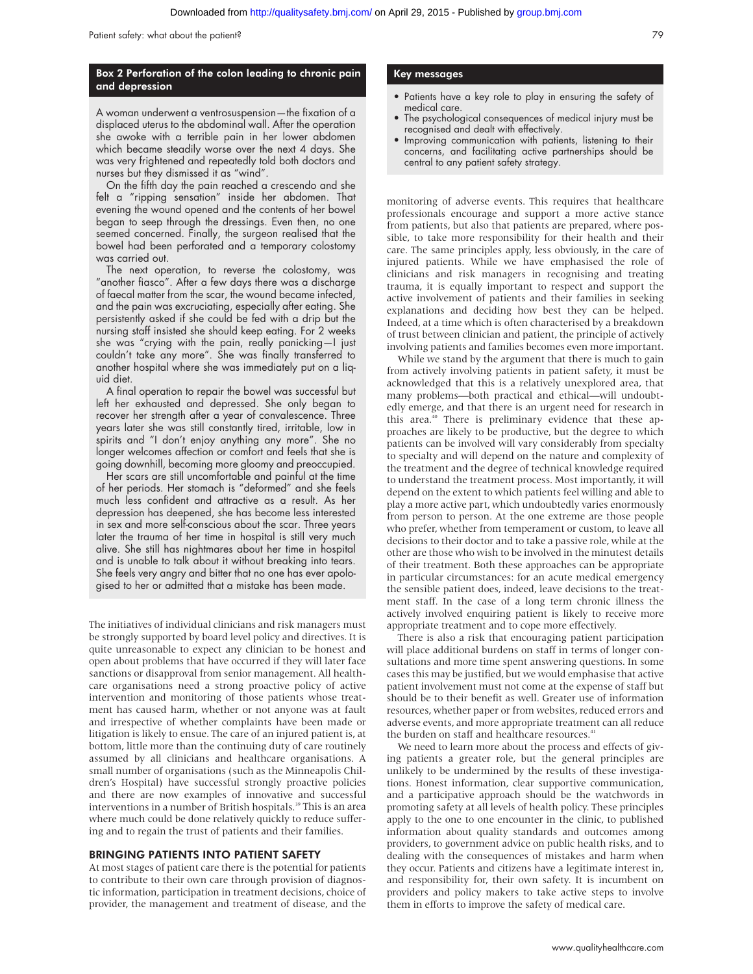Patient safety: what about the patient? 79

### Box 2 Perforation of the colon leading to chronic pain and depression

A woman underwent a ventrosuspension—the fixation of a displaced uterus to the abdominal wall. After the operation she awoke with a terrible pain in her lower abdomen which became steadily worse over the next 4 days. She was very frightened and repeatedly told both doctors and nurses but they dismissed it as "wind".

On the fifth day the pain reached a crescendo and she felt a "ripping sensation" inside her abdomen. That evening the wound opened and the contents of her bowel began to seep through the dressings. Even then, no one seemed concerned. Finally, the surgeon realised that the bowel had been perforated and a temporary colostomy was carried out.

The next operation, to reverse the colostomy, was "another fiasco". After a few days there was a discharge of faecal matter from the scar, the wound became infected, and the pain was excruciating, especially after eating. She persistently asked if she could be fed with a drip but the nursing staff insisted she should keep eating. For 2 weeks she was "crying with the pain, really panicking—I just couldn't take any more". She was finally transferred to another hospital where she was immediately put on a liquid diet.

A final operation to repair the bowel was successful but left her exhausted and depressed. She only began to recover her strength after a year of convalescence. Three years later she was still constantly tired, irritable, low in spirits and "I don't enjoy anything any more". She no longer welcomes affection or comfort and feels that she is going downhill, becoming more gloomy and preoccupied.

Her scars are still uncomfortable and painful at the time of her periods. Her stomach is "deformed" and she feels much less confident and attractive as a result. As her depression has deepened, she has become less interested in sex and more self-conscious about the scar. Three years later the trauma of her time in hospital is still very much alive. She still has nightmares about her time in hospital and is unable to talk about it without breaking into tears. She feels very angry and bitter that no one has ever apologised to her or admitted that a mistake has been made.

The initiatives of individual clinicians and risk managers must be strongly supported by board level policy and directives. It is quite unreasonable to expect any clinician to be honest and open about problems that have occurred if they will later face sanctions or disapproval from senior management. All healthcare organisations need a strong proactive policy of active intervention and monitoring of those patients whose treatment has caused harm, whether or not anyone was at fault and irrespective of whether complaints have been made or litigation is likely to ensue. The care of an injured patient is, at bottom, little more than the continuing duty of care routinely assumed by all clinicians and healthcare organisations. A small number of organisations (such as the Minneapolis Children's Hospital) have successful strongly proactive policies and there are now examples of innovative and successful interventions in a number of British hospitals.<sup>39</sup> This is an area where much could be done relatively quickly to reduce suffering and to regain the trust of patients and their families.

### BRINGING PATIENTS INTO PATIENT SAFETY

At most stages of patient care there is the potential for patients to contribute to their own care through provision of diagnostic information, participation in treatment decisions, choice of provider, the management and treatment of disease, and the

#### Key messages

- Patients have a key role to play in ensuring the safety of medical care.
- The psychological consequences of medical injury must be recognised and dealt with effectively.
- Improving communication with patients, listening to their concerns, and facilitating active partnerships should be central to any patient safety strategy.

monitoring of adverse events. This requires that healthcare professionals encourage and support a more active stance from patients, but also that patients are prepared, where possible, to take more responsibility for their health and their care. The same principles apply, less obviously, in the care of injured patients. While we have emphasised the role of clinicians and risk managers in recognising and treating trauma, it is equally important to respect and support the active involvement of patients and their families in seeking explanations and deciding how best they can be helped. Indeed, at a time which is often characterised by a breakdown of trust between clinician and patient, the principle of actively involving patients and families becomes even more important.

While we stand by the argument that there is much to gain from actively involving patients in patient safety, it must be acknowledged that this is a relatively unexplored area, that many problems—both practical and ethical—will undoubtedly emerge, and that there is an urgent need for research in this area.<sup>40</sup> There is preliminary evidence that these approaches are likely to be productive, but the degree to which patients can be involved will vary considerably from specialty to specialty and will depend on the nature and complexity of the treatment and the degree of technical knowledge required to understand the treatment process. Most importantly, it will depend on the extent to which patients feel willing and able to play a more active part, which undoubtedly varies enormously from person to person. At the one extreme are those people who prefer, whether from temperament or custom, to leave all decisions to their doctor and to take a passive role, while at the other are those who wish to be involved in the minutest details of their treatment. Both these approaches can be appropriate in particular circumstances: for an acute medical emergency the sensible patient does, indeed, leave decisions to the treatment staff. In the case of a long term chronic illness the actively involved enquiring patient is likely to receive more appropriate treatment and to cope more effectively.

There is also a risk that encouraging patient participation will place additional burdens on staff in terms of longer consultations and more time spent answering questions. In some cases this may be justified, but we would emphasise that active patient involvement must not come at the expense of staff but should be to their benefit as well. Greater use of information resources, whether paper or from websites, reduced errors and adverse events, and more appropriate treatment can all reduce the burden on staff and healthcare resources.<sup>41</sup>

We need to learn more about the process and effects of giving patients a greater role, but the general principles are unlikely to be undermined by the results of these investigations. Honest information, clear supportive communication, and a participative approach should be the watchwords in promoting safety at all levels of health policy. These principles apply to the one to one encounter in the clinic, to published information about quality standards and outcomes among providers, to government advice on public health risks, and to dealing with the consequences of mistakes and harm when they occur. Patients and citizens have a legitimate interest in, and responsibility for, their own safety. It is incumbent on providers and policy makers to take active steps to involve them in efforts to improve the safety of medical care.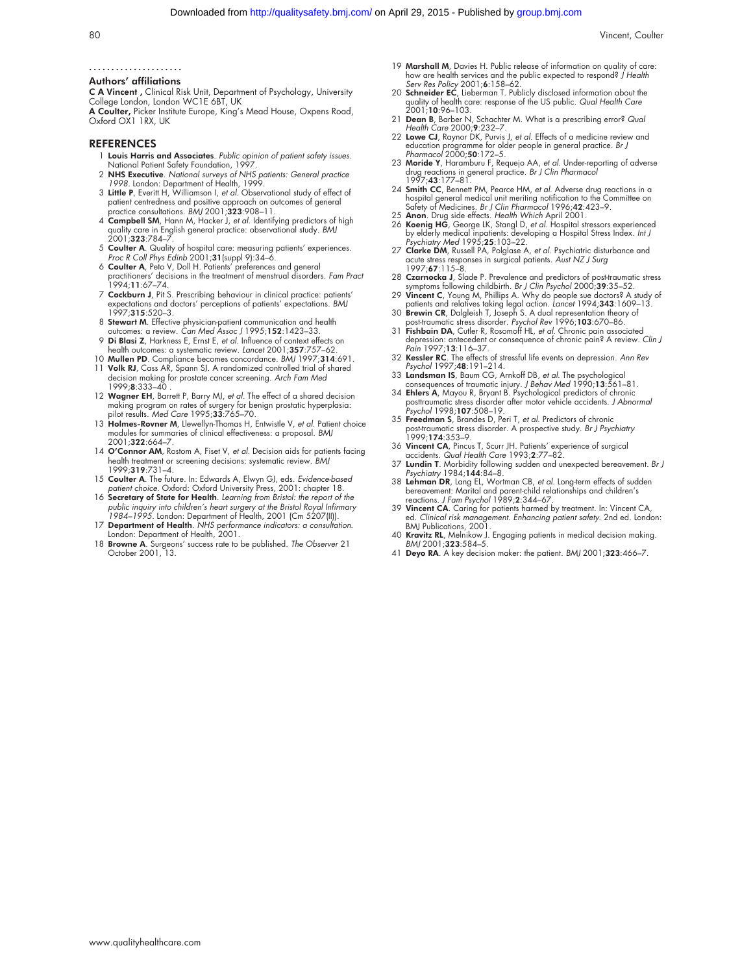## .....................

# Authors' affiliations

C A Vincent , Clinical Risk Unit, Department of Psychology, University College London, London WC1E 6BT, UK A Coulter, Picker Institute Europe, King's Mead House, Oxpens Road, Oxford OX1 1RX, UK

#### **REFERENCES**

- 1 Louis Harris and Associates. Public opinion of patient safety issues. National Patient Safety Foundation, 1997.
- 2 NHS Executive. National surveys of NHS patients: General practice
- 1998. London: Department of Health, 1999. 3 Little P, Everitt H, Williamson I, et al. Observational study of effect of patient centredness and positive approach on outcomes of general practice consultations. BMJ 2001;323:908–11.
- 4 Campbell SM, Hann M, Hacker J, et al. Identifying predictors of high quality care in English general practice: observational study. *BMJ*<br>2001;**323**:784–7.
- 5 Coulter A. Quality of hospital care: measuring patients' experiences. Proc <sup>R</sup> Coll Phys Edinb 2001;31(suppl 9):34–6.
- 6 Coulter A, Peto V, Doll H. Patients' preferences and general practitioners' decisions in the treatment of menstrual disorders. Fam Pract 1994;11:67–74.
- 7 Cockburn J, Pit S. Prescribing behaviour in clinical practice: patients' expectations and doctors' perceptions of patients' expectations. BMJ 1997;315:520–3.
- 8 Stewart M. Effective physician-patient communication and health outcomes: a review. Can Med Assoc J 1995;152:1423-33.
- 9 Di Blasi Z, Harkness E, Ernst E, et al. Influence of context effects on health outcomes: a systematic review. Lancet 2001;357:757-62.
- 10 Mullen PD. Compliance becomes concordance. BMJ 1997;314:691. 11 Volk RJ, Cass AR, Spann SJ. A randomized controlled trial of shared decision making for prostate cancer screening. *Arch Fam Med*<br>1999;**8**:333–40 .
- 12 Wagner EH, Barrett P, Barry MJ, et al. The effect of a shared decision making program on rates of surgery for benign prostatic hyperplasia: pilot results. Med Care 1995;33:765–70.
- 13 Holmes-Rovner M, Llewellyn-Thomas H, Entwistle V, et al. Patient choice modules for summaries of clinical effectiveness: a proposal. BMJ 2001;322:664–7.
- 14 O'Connor AM, Rostom A, Fiset V, et al. Decision aids for patients facing health treatment or screening decisions: systematic review. BMJ 1999;319:731–4.
- 15 Coulter A. The future. In: Edwards A, Elwyn GJ, eds. Evidence-based patient choice. Oxford: Oxford University Press, 2001: chapter 18.<br>16 Secretary of State for Health. Learning from Bristol: the report of the
- public inquiry into children's heart surgery at the Bristol Royal Infirmary 1984–1995. London: Department of Health, 2001 (Cm 5207(II)). 17 Department of Health. NHS performance indicators: a consultation.
- London: Department of Health, 2001.
- 18 Browne A. Surgeons' success rate to be published. The Observer 21 October 2001, 13.
- 19 Marshall M, Davies H. Public release of information on quality of care: how are health services and the public expected to respond? J Health Serv Res Policy 2001;6:158–62.
- 20 Schneider EC, Lieberman T. Publicly disclosed information about the quality of health care: response of the US public. Qual Health Care 2001;10:96–103.
- 21 Dean B, Barber N, Schachter M. What is a prescribing error? Qual Health Care 2000;9:232–7.
- 22 Lowe CJ, Raynor DK, Purvis J, et al. Effects of a medicine review and education programme for older people in general practice. *Br J*<br>*Pharmacol* 2000;**50**:172–5.
- 23 Moride Y, Haramburu F, Requejo AA, et al. Under-reporting of adverse drug reactions in general practice. Br J Clin Pharmacol
- 1997;43:177–81.<br>24 Smith CC, Bennett PM, Pearce HM, *et al.* Adverse drug reactions in a<br>524 Smith CC, Bennett PM, Pearce HM, *et al.* Adverse drug reactions in a<br>524 Smith dependence on Safety of Medicines. *Br J Clin Pha*
- 
- Psychiatry Med 1995;25:103–22. 27 Clarke DM, Russell PA, Polglase A, et al. Psychiatric disturbance and
- acute stress responses in surgical patients. Aust NZ J Surg 1997;67:115–8.
- 28 **Czarnocka J**, Slade P. Prevalence and predictors of post-traumatic stress<br>symptoms following childbirth. Br J Clin Psychol 2000;**39**:35–52.<br>Vin**cent C**, Young M, Phillips A. Why do people sue doctors? A study of
- patients and relatives taking legal action. Lancet 1994;343:1609–13.
- 30 Brewin CR, Dalgleish T, Joseph S. A dual representation theory of post-traumatic stress disorder. Psychol Rev 1996;103:670–86. 31 Fishbain DA, Cutler R, Rosomoff HL, et al. Chronic pain associated
- depression: antecedent or consequence of chronic pain? A review. Clin J Pain 1997;13:116–37.
- 32 Kessler RC. The effects of stressful life events on depression. Ann Rev Psychol 1997;48:191–214. 33 Landsman IS, Baum CG, Arnkoff DB, et al. The psychological
- consequences of traumatic injury. J Behav Med 1990;13:561–81. 34 Ehlers A, Mayou R, Bryant B. Psychological predictors of chronic
- posttraumatic stress disorder after motor vehicle accidents. J Abnormal Psychol 1998;107:508–19. 35 Freedman S, Brandes D, Peri T, et al. Predictors of chronic
- post-traumatic stress disorder. A prospective study. Br J Psychiatry 1999;174:353–9.
- 36 Vincent CA, Pincus T, Scurr JH. Patients' experience of surgical accidents. Qual Health Care 1993;2:77–82.
- 37 Lundin T. Morbidity following sudden and unexpected bereavement. Br J Psychiatry 1984;144:84–8.
- 38 Lehman DR, Lang EL, Wortman CB, et al. Long-term effects of sudden bereavement: Marital and parent-child relationships and children's reactions. J Fam Psychol 1989;2:344–67.
- 39 Vincent CA. Caring for patients harmed by treatment. In: Vincent CA, ed. Clinical risk management. Enhancing patient safety. 2nd ed. London: BMJ Publications, 2001.
- 40 Kravitz RL, Melnikow J. Engaging patients in medical decision making. BMJ 2001;323:584–5.
- 41 Deyo RA. A key decision maker: the patient. BMJ 2001;323:466–7.